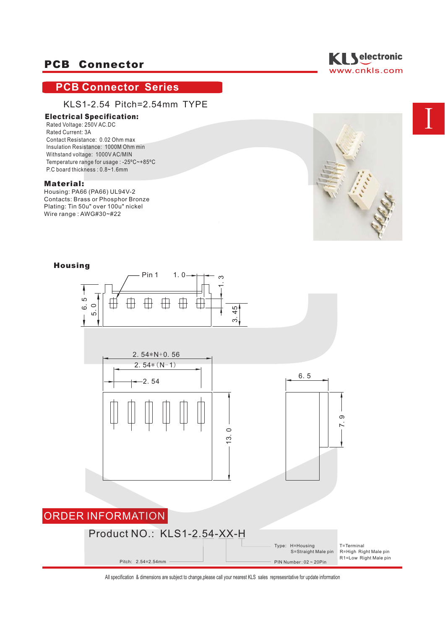# **PCB Connector Series**

## KLS1-2.54 Pitch=2.54mm TYPE

## Electrical Specification:

Rated Voltage: 250V AC.DC Rated Current: 3A Contact Resistance: 0.02 Ohm max Insulation Resistance: 1000M Ohm min Withstand voltage: 1000V AC/MIN Temperature range for usage : -25ºC~+85ºC P.C board thickness : 0.8~1.6mm

#### Material:

Housing: PA66 (PA66) UL94V-2 Contacts: Brass or Phosphor Bronze Plating: Tin 50u" over 100u" nickel Wire range : AWG#30~#22





## Housing

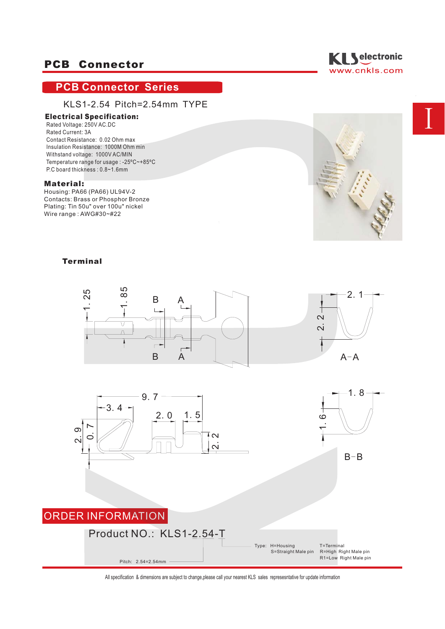# **PCB Connector Series**

## KLS1-2.54 Pitch=2.54mm TYPE

## Electrical Specification:

Rated Voltage: 250V AC.DC Rated Current: 3A Contact Resistance: 0.02 Ohm max Insulation Resistance: 1000M Ohm min Withstand voltage: 1000V AC/MIN Temperature range for usage : -25ºC~+85ºC P.C board thickness : 0.8~1.6mm

#### Material:

Housing: PA66 (PA66) UL94V-2 Contacts: Brass or Phosphor Bronze Plating: Tin 50u" over 100u" nickel Wire range : AWG#30~#22





## **Terminal**



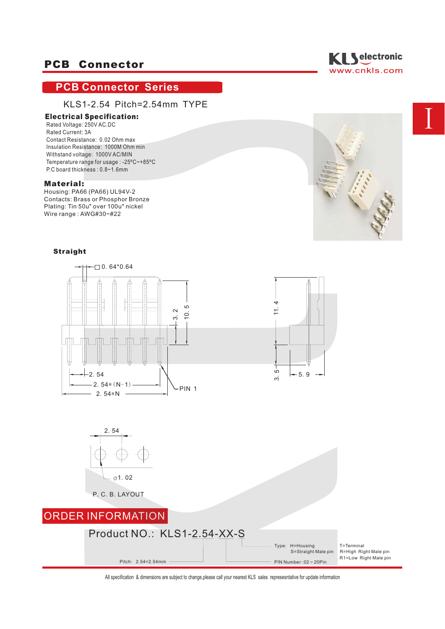# **PCB Connector Series**

## KLS1-2.54 Pitch=2.54mm TYPE

### Electrical Specification:

Rated Voltage: 250V AC.DC Rated Current: 3A Contact Resistance: 0.02 Ohm max Insulation Resistance: 1000M Ohm min Withstand voltage: 1000V AC/MIN Temperature range for usage : -25ºC~+85ºC P.C board thickness : 0.8~1.6mm

#### Material:

Housing: PA66 (PA66) UL94V-2 Contacts: Brass or Phosphor Bronze Plating: Tin 50u" over 100u" nickel Wire range : AWG#30~#22